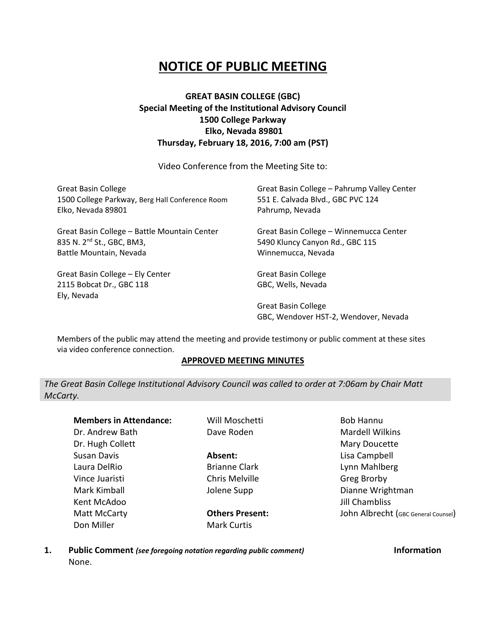## **NOTICE OF PUBLIC MEETING**

## **GREAT BASIN COLLEGE (GBC) Special Meeting of the Institutional Advisory Council 1500 College Parkway Elko, Nevada 89801 Thursday, February 18, 2016, 7:00 am (PST)**

Video Conference from the Meeting Site to:

| <b>Great Basin College</b>                      | Great Basin College - Pahrump Valley Center |
|-------------------------------------------------|---------------------------------------------|
| 1500 College Parkway, Berg Hall Conference Room | 551 E. Calvada Blvd., GBC PVC 124           |
| Elko, Nevada 89801                              | Pahrump, Nevada                             |
| Great Basin College - Battle Mountain Center    | Great Basin College - Winnemucca Center     |
| 835 N. 2 <sup>nd</sup> St., GBC, BM3,           | 5490 Kluncy Canyon Rd., GBC 115             |
| Battle Mountain, Nevada                         | Winnemucca, Nevada                          |
| Great Basin College - Ely Center                | Great Basin College                         |
| 2115 Bobcat Dr., GBC 118                        | GBC, Wells, Nevada                          |
| Ely, Nevada                                     |                                             |

Great Basin College GBC, Wendover HST-2, Wendover, Nevada

Members of the public may attend the meeting and provide testimony or public comment at these sites via video conference connection.

## **APPROVED MEETING MINUTES**

*The Great Basin College Institutional Advisory Council was called to order at 7:06am by Chair Matt McCarty.*

**Members in Attendance:** Dr. Andrew Bath Dr. Hugh Collett Susan Davis Laura DelRio Vince Juaristi Mark Kimball Kent McAdoo Matt McCarty Don Miller

Will Moschetti Dave Roden

**Absent:** Brianne Clark Chris Melville Jolene Supp

**Others Present:** Mark Curtis

Bob Hannu Mardell Wilkins Mary Doucette Lisa Campbell Lynn Mahlberg Greg Brorby Dianne Wrightman Jill Chambliss John Albrecht (GBC General Counsel)

**1. Public Comment** *(see foregoing notation regarding public comment)* **Information** None.